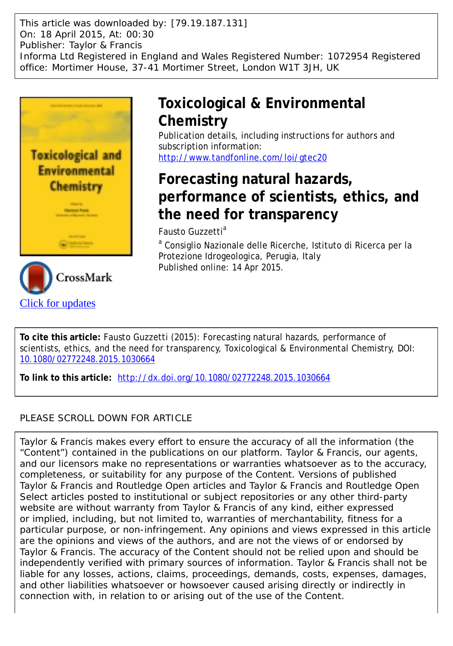This article was downloaded by: [79.19.187.131] On: 18 April 2015, At: 00:30 Publisher: Taylor & Francis Informa Ltd Registered in England and Wales Registered Number: 1072954 Registered office: Mortimer House, 37-41 Mortimer Street, London W1T 3JH, UK



# **Toxicological & Environmental Chemistry**

Publication details, including instructions for authors and subscription information: <http://www.tandfonline.com/loi/gtec20>

# **Forecasting natural hazards, performance of scientists, ethics, and the need for transparency**

Fausto Guzzetti<sup>a</sup>

<sup>a</sup> Consiglio Nazionale delle Ricerche, Istituto di Ricerca per la Protezione Idrogeologica, Perugia, Italy Published online: 14 Apr 2015.

**To cite this article:** Fausto Guzzetti (2015): Forecasting natural hazards, performance of scientists, ethics, and the need for transparency, Toxicological & Environmental Chemistry, DOI: [10.1080/02772248.2015.1030664](http://www.tandfonline.com/action/showCitFormats?doi=10.1080/02772248.2015.1030664)

**To link to this article:** <http://dx.doi.org/10.1080/02772248.2015.1030664>

# PLEASE SCROLL DOWN FOR ARTICLE

Taylor & Francis makes every effort to ensure the accuracy of all the information (the "Content") contained in the publications on our platform. Taylor & Francis, our agents, and our licensors make no representations or warranties whatsoever as to the accuracy, completeness, or suitability for any purpose of the Content. Versions of published Taylor & Francis and Routledge Open articles and Taylor & Francis and Routledge Open Select articles posted to institutional or subject repositories or any other third-party website are without warranty from Taylor & Francis of any kind, either expressed or implied, including, but not limited to, warranties of merchantability, fitness for a particular purpose, or non-infringement. Any opinions and views expressed in this article are the opinions and views of the authors, and are not the views of or endorsed by Taylor & Francis. The accuracy of the Content should not be relied upon and should be independently verified with primary sources of information. Taylor & Francis shall not be liable for any losses, actions, claims, proceedings, demands, costs, expenses, damages, and other liabilities whatsoever or howsoever caused arising directly or indirectly in connection with, in relation to or arising out of the use of the Content.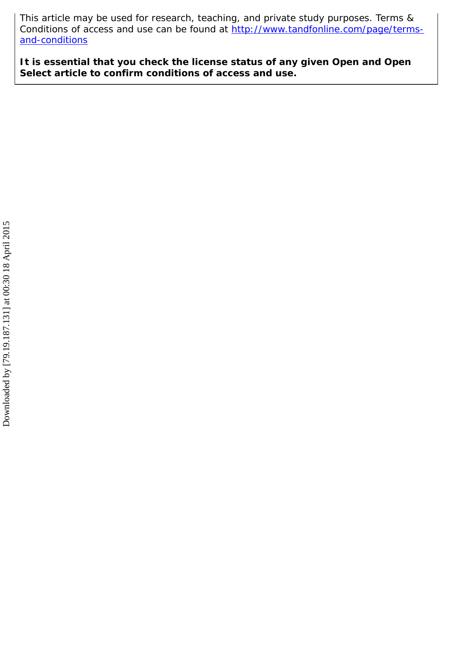This article may be used for research, teaching, and private study purposes. Terms & Conditions of access and use can be found at [http://www.tandfonline.com/page/terms](http://www.tandfonline.com/page/terms-and-conditions)[and-conditions](http://www.tandfonline.com/page/terms-and-conditions)

**It is essential that you check the license status of any given Open and Open Select article to confirm conditions of access and use.**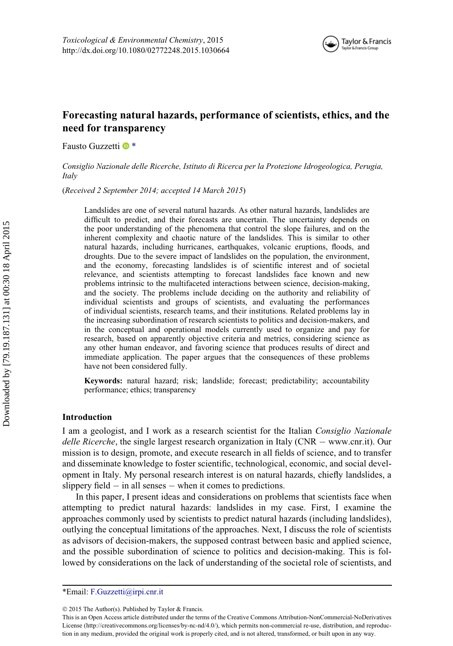

# Forecasting natural hazards, performance of scientists, ethics, and the need for transparency

Fausto Guzzetti <sup>®</sup>

Consiglio Nazionale delle Ricerche, Istituto di Ricerca per la Protezione Idrogeologica, Perugia, Italy

(Received 2 September 2014; accepted 14 March 2015)

Landslides are one of several natural hazards. As other natural hazards, landslides are difficult to predict, and their forecasts are uncertain. The uncertainty depends on the poor understanding of the phenomena that control the slope failures, and on the inherent complexity and chaotic nature of the landslides. This is similar to other natural hazards, including hurricanes, earthquakes, volcanic eruptions, floods, and droughts. Due to the severe impact of landslides on the population, the environment, and the economy, forecasting landslides is of scientific interest and of societal relevance, and scientists attempting to forecast landslides face known and new problems intrinsic to the multifaceted interactions between science, decision-making, and the society. The problems include deciding on the authority and reliability of individual scientists and groups of scientists, and evaluating the performances of individual scientists, research teams, and their institutions. Related problems lay in the increasing subordination of research scientists to politics and decision-makers, and in the conceptual and operational models currently used to organize and pay for research, based on apparently objective criteria and metrics, considering science as any other human endeavor, and favoring science that produces results of direct and immediate application. The paper argues that the consequences of these problems have not been considered fully.

Keywords: natural hazard; risk; landslide; forecast; predictability; accountability performance; ethics; transparency

#### Introduction

I am a geologist, and I work as a research scientist for the Italian Consiglio Nazionale *delle Ricerche*, the single largest research organization in Italy ( $CNR - www.cnr.it)$  $CNR - www.cnr.it)$ ). Our mission is to design, promote, and execute research in all fields of science, and to transfer and disseminate knowledge to foster scientific, technological, economic, and social development in Italy. My personal research interest is on natural hazards, chiefly landslides, a slippery field  $-$  in all senses  $-$  when it comes to predictions.

In this paper, I present ideas and considerations on problems that scientists face when attempting to predict natural hazards: landslides in my case. First, I examine the approaches commonly used by scientists to predict natural hazards (including landslides), outlying the conceptual limitations of the approaches. Next, I discuss the role of scientists as advisors of decision-makers, the supposed contrast between basic and applied science, and the possible subordination of science to politics and decision-making. This is followed by considerations on the lack of understanding of the societal role of scientists, and

<span id="page-2-0"></span><sup>\*</sup>Email: [F.Guzzetti@irpi.cnr.it](mailto:F.Guzzetti@irpi.cnr.it)

2015 The Author(s). Published by Taylor & Francis.

This is an Open Access article distributed under the terms of the Creative Commons Attribution-NonCommercial-NoDerivatives License (<http://creativecommons.org/licenses/by-nc-nd/4.0/>), which permits non-commercial re-use, distribution, and reproduction in any medium, provided the original work is properly cited, and is not altered, transformed, or built upon in any way.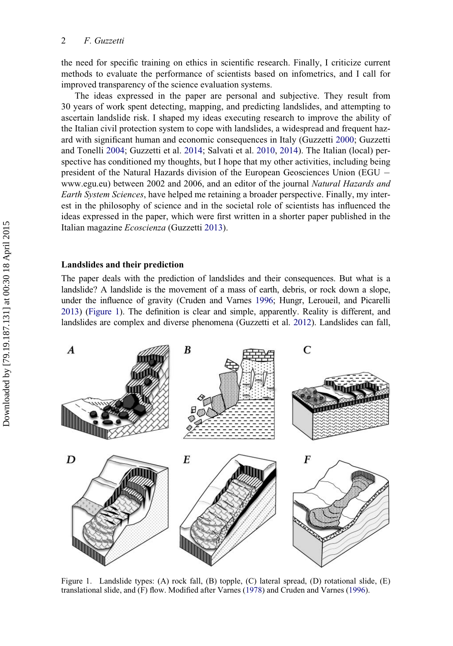the need for specific training on ethics in scientific research. Finally, I criticize current methods to evaluate the performance of scientists based on infometrics, and I call for improved transparency of the science evaluation systems.

The ideas expressed in the paper are personal and subjective. They result from 30 years of work spent detecting, mapping, and predicting landslides, and attempting to ascertain landslide risk. I shaped my ideas executing research to improve the ability of the Italian civil protection system to cope with landslides, a widespread and frequent hazard with significant human and economic consequences in Italy (Guzzetti [2000;](#page-16-0) Guzzetti and Tonelli [2004;](#page-16-1) Guzzetti et al. [2014;](#page-16-2) Salvati et al. [2010,](#page-17-0) [2014\)](#page-17-1). The Italian (local) perspective has conditioned my thoughts, but I hope that my other activities, including being president of the Natural Hazards division of the European Geosciences Union (EGU [www.egu.eu](http://www.egu.eu)) between 2002 and 2006, and an editor of the journal Natural Hazards and Earth System Sciences, have helped me retaining a broader perspective. Finally, my interest in the philosophy of science and in the societal role of scientists has influenced the ideas expressed in the paper, which were first written in a shorter paper published in the Italian magazine Ecoscienza (Guzzetti [2013\)](#page-16-3).

## Landslides and their prediction

The paper deals with the prediction of landslides and their consequences. But what is a landslide? A landslide is the movement of a mass of earth, debris, or rock down a slope, under the influence of gravity (Cruden and Varnes [1996](#page-16-4); Hungr, Leroueil, and Picarelli [2013](#page-17-2)) [\(Figure 1](#page-3-0)). The definition is clear and simple, apparently. Reality is different, and landslides are complex and diverse phenomena (Guzzetti et al. [2012](#page-16-5)). Landslides can fall,

<span id="page-3-0"></span>

Figure 1. Landslide types: (A) rock fall, (B) topple, (C) lateral spread, (D) rotational slide, (E) translational slide, and (F) flow. Modified after Varnes ([1978](#page-18-0)) and Cruden and Varnes ([1996\)](#page-16-4).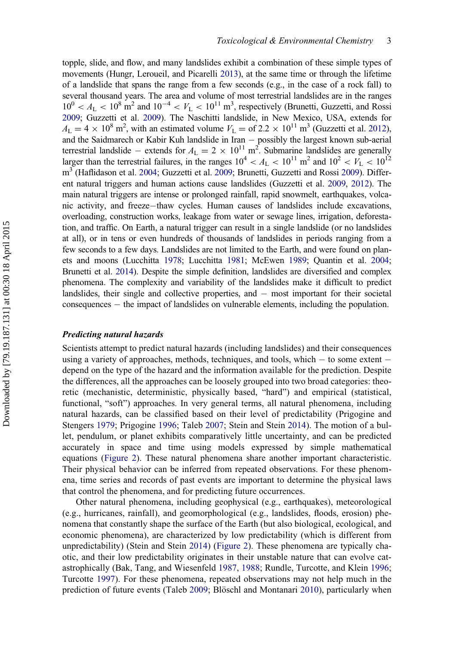topple, slide, and flow, and many landslides exhibit a combination of these simple types of movements (Hungr, Leroueil, and Picarelli [2013](#page-17-2)), at the same time or through the lifetime of a landslide that spans the range from a few seconds (e.g., in the case of a rock fall) to several thousand years. The area and volume of most terrestrial landslides are in the ranges  $10^0 < A_L < 10^8$  m<sup>2</sup> and  $10^{-4} < V_L < 10^{11}$  m<sup>3</sup>, respectively (Brunetti, Guzzetti, and Rossi [2009](#page-16-6); Guzzetti et al. [2009](#page-16-7)). The Naschitti landslide, in New Mexico, USA, extends for  $A_{\text{L}} = 4 \times 10^8 \text{ m}^2$ , with an estimated volume  $V_{\text{L}} = 612 \times 10^{11} \text{ m}^3$  (Guzzetti et al. [2012\)](#page-16-5), and the Saidmarech or Kabir Kuh landslide in Iran - possibly the largest known sub-aerial terrestrial landslide – extends for  $A_L = 2 \times 10^{11} \text{ m}^2$ . Submarine landslides are generally larger than the terrestrial failures, in the ranges  $10^4 < A_L < 10^{11}$  m<sup>2</sup> and  $10^2 < V_L < 10^{12}$ m<sup>3</sup> (Haflidason et al. [2004;](#page-17-3) Guzzetti et al. [2009](#page-16-6); Brunetti, Guzzetti and Rossi 2009). Different natural triggers and human actions cause landslides (Guzzetti et al. [2009](#page-16-7), [2012\)](#page-16-5). The main natural triggers are intense or prolonged rainfall, rapid snowmelt, earthquakes, volcanic activity, and freeze-thaw cycles. Human causes of landslides include excavations, overloading, construction works, leakage from water or sewage lines, irrigation, deforestation, and traffic. On Earth, a natural trigger can result in a single landslide (or no landslides at all), or in tens or even hundreds of thousands of landslides in periods ranging from a few seconds to a few days. Landslides are not limited to the Earth, and were found on planets and moons (Lucchitta [1978;](#page-17-4) Lucchitta [1981;](#page-17-5) McEwen [1989;](#page-17-6) Quantin et al. [2004;](#page-17-7) Brunetti et al. [2014](#page-16-8)). Despite the simple definition, landslides are diversified and complex phenomena. The complexity and variability of the landslides make it difficult to predict landslides, their single and collective properties, and  $-$  most important for their societal consequences – the impact of landslides on vulnerable elements, including the population.

## Predicting natural hazards

Scientists attempt to predict natural hazards (including landslides) and their consequences using a variety of approaches, methods, techniques, and tools, which  $-$  to some extent  $$ depend on the type of the hazard and the information available for the prediction. Despite the differences, all the approaches can be loosely grouped into two broad categories: theoretic (mechanistic, deterministic, physically based, "hard") and empirical (statistical, functional, "soft") approaches. In very general terms, all natural phenomena, including natural hazards, can be classified based on their level of predictability (Prigogine and Stengers [1979](#page-17-8); Prigogine [1996](#page-17-9); Taleb [2007;](#page-18-1) Stein and Stein [2014\)](#page-18-2). The motion of a bullet, pendulum, or planet exhibits comparatively little uncertainty, and can be predicted accurately in space and time using models expressed by simple mathematical equations ([Figure 2\)](#page-5-0). These natural phenomena share another important characteristic. Their physical behavior can be inferred from repeated observations. For these phenomena, time series and records of past events are important to determine the physical laws that control the phenomena, and for predicting future occurrences.

Other natural phenomena, including geophysical (e.g., earthquakes), meteorological (e.g., hurricanes, rainfall), and geomorphological (e.g., landslides, floods, erosion) phenomena that constantly shape the surface of the Earth (but also biological, ecological, and economic phenomena), are characterized by low predictability (which is different from unpredictability) (Stein and Stein [2014](#page-18-2)) ([Figure 2](#page-5-0)). These phenomena are typically chaotic, and their low predictability originates in their unstable nature that can evolve catastrophically (Bak, Tang, and Wiesenfeld [1987,](#page-15-0) [1988](#page-15-1); Rundle, Turcotte, and Klein [1996;](#page-17-10) Turcotte [1997](#page-18-3)). For these phenomena, repeated observations may not help much in the prediction of future events (Taleb [2009](#page-18-4); Blöschl and Montanari [2010](#page-16-9)), particularly when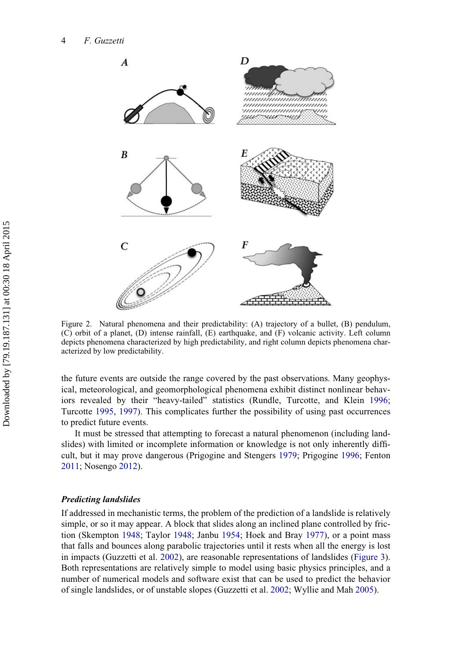<span id="page-5-0"></span>

Figure 2. Natural phenomena and their predictability: (A) trajectory of a bullet, (B) pendulum, (C) orbit of a planet, (D) intense rainfall, (E) earthquake, and (F) volcanic activity. Left column depicts phenomena characterized by high predictability, and right column depicts phenomena characterized by low predictability.

the future events are outside the range covered by the past observations. Many geophysical, meteorological, and geomorphological phenomena exhibit distinct nonlinear behaviors revealed by their "heavy-tailed" statistics (Rundle, Turcotte, and Klein [1996;](#page-17-10) Turcotte [1995,](#page-18-5) [1997\)](#page-18-3). This complicates further the possibility of using past occurrences to predict future events.

It must be stressed that attempting to forecast a natural phenomenon (including landslides) with limited or incomplete information or knowledge is not only inherently difficult, but it may prove dangerous (Prigogine and Stengers [1979;](#page-17-8) Prigogine [1996;](#page-17-9) Fenton [2011;](#page-16-10) Nosengo [2012\)](#page-17-11).

## Predicting landslides

If addressed in mechanistic terms, the problem of the prediction of a landslide is relatively simple, or so it may appear. A block that slides along an inclined plane controlled by friction (Skempton [1948;](#page-18-6) Taylor [1948;](#page-18-7) Janbu [1954;](#page-17-12) Hoek and Bray [1977](#page-17-13)), or a point mass that falls and bounces along parabolic trajectories until it rests when all the energy is lost in impacts (Guzzetti et al. [2002\)](#page-16-11), are reasonable representations of landslides ([Figure 3\)](#page-6-0). Both representations are relatively simple to model using basic physics principles, and a number of numerical models and software exist that can be used to predict the behavior of single landslides, or of unstable slopes (Guzzetti et al. [2002;](#page-16-11) Wyllie and Mah [2005](#page-18-8)).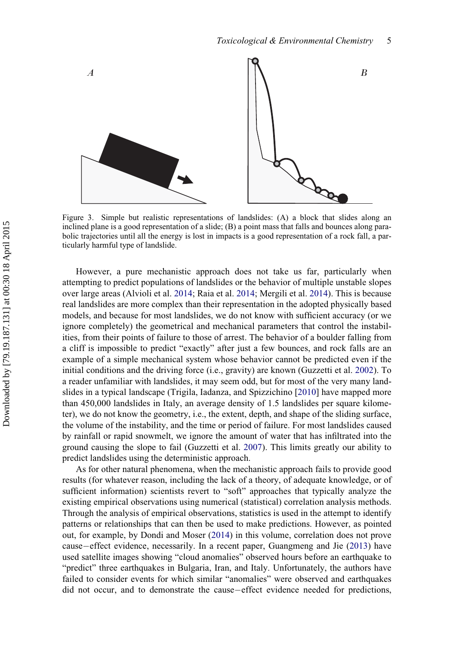<span id="page-6-0"></span>

Figure 3. Simple but realistic representations of landslides: (A) a block that slides along an inclined plane is a good representation of a slide; (B) a point mass that falls and bounces along parabolic trajectories until all the energy is lost in impacts is a good representation of a rock fall, a particularly harmful type of landslide.

However, a pure mechanistic approach does not take us far, particularly when attempting to predict populations of landslides or the behavior of multiple unstable slopes over large areas (Alvioli et al. [2014;](#page-15-2) Raia et al. [2014;](#page-17-14) Mergili et al. [2014](#page-17-15)). This is because real landslides are more complex than their representation in the adopted physically based models, and because for most landslides, we do not know with sufficient accuracy (or we ignore completely) the geometrical and mechanical parameters that control the instabilities, from their points of failure to those of arrest. The behavior of a boulder falling from a cliff is impossible to predict "exactly" after just a few bounces, and rock falls are an example of a simple mechanical system whose behavior cannot be predicted even if the initial conditions and the driving force (i.e., gravity) are known (Guzzetti et al. [2002\)](#page-16-11). To a reader unfamiliar with landslides, it may seem odd, but for most of the very many landslides in a typical landscape (Trigila, Iadanza, and Spizzichino [\[2010](#page-18-9)] have mapped more than 450,000 landslides in Italy, an average density of 1.5 landslides per square kilometer), we do not know the geometry, i.e., the extent, depth, and shape of the sliding surface, the volume of the instability, and the time or period of failure. For most landslides caused by rainfall or rapid snowmelt, we ignore the amount of water that has infiltrated into the ground causing the slope to fail (Guzzetti et al. [2007\)](#page-16-12). This limits greatly our ability to predict landslides using the deterministic approach.

As for other natural phenomena, when the mechanistic approach fails to provide good results (for whatever reason, including the lack of a theory, of adequate knowledge, or of sufficient information) scientists revert to "soft" approaches that typically analyze the existing empirical observations using numerical (statistical) correlation analysis methods. Through the analysis of empirical observations, statistics is used in the attempt to identify patterns or relationships that can then be used to make predictions. However, as pointed out, for example, by Dondi and Moser [\(2014](#page-16-13)) in this volume, correlation does not prove cause–effect evidence, necessarily. In a recent paper, Guangmeng and Jie ([2013\)](#page-16-14) have used satellite images showing "cloud anomalies" observed hours before an earthquake to "predict" three earthquakes in Bulgaria, Iran, and Italy. Unfortunately, the authors have failed to consider events for which similar "anomalies" were observed and earthquakes did not occur, and to demonstrate the cause-effect evidence needed for predictions,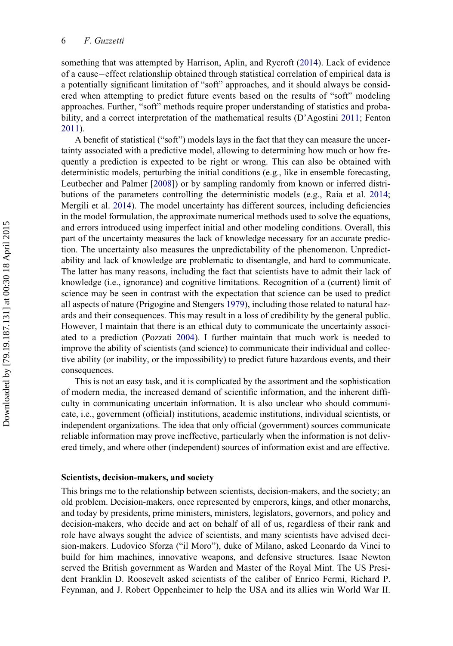something that was attempted by Harrison, Aplin, and Rycroft ([2014\)](#page-17-16). Lack of evidence of a cause—effect relationship obtained through statistical correlation of empirical data is a potentially significant limitation of "soft" approaches, and it should always be considered when attempting to predict future events based on the results of "soft" modeling approaches. Further, "soft" methods require proper understanding of statistics and probability, and a correct interpretation of the mathematical results (D'Agostini [2011;](#page-16-15) Fenton [2011\)](#page-16-10).

A benefit of statistical ("soft") models lays in the fact that they can measure the uncertainty associated with a predictive model, allowing to determining how much or how frequently a prediction is expected to be right or wrong. This can also be obtained with deterministic models, perturbing the initial conditions (e.g., like in ensemble forecasting, Leutbecher and Palmer [\[2008](#page-17-17)]) or by sampling randomly from known or inferred distributions of the parameters controlling the deterministic models (e.g., Raia et al. [2014;](#page-17-14) Mergili et al. [2014](#page-17-15)). The model uncertainty has different sources, including deficiencies in the model formulation, the approximate numerical methods used to solve the equations, and errors introduced using imperfect initial and other modeling conditions. Overall, this part of the uncertainty measures the lack of knowledge necessary for an accurate prediction. The uncertainty also measures the unpredictability of the phenomenon. Unpredictability and lack of knowledge are problematic to disentangle, and hard to communicate. The latter has many reasons, including the fact that scientists have to admit their lack of knowledge (i.e., ignorance) and cognitive limitations. Recognition of a (current) limit of science may be seen in contrast with the expectation that science can be used to predict all aspects of nature (Prigogine and Stengers [1979](#page-17-8)), including those related to natural hazards and their consequences. This may result in a loss of credibility by the general public. However, I maintain that there is an ethical duty to communicate the uncertainty associated to a prediction (Pozzati [2004](#page-17-18)). I further maintain that much work is needed to improve the ability of scientists (and science) to communicate their individual and collective ability (or inability, or the impossibility) to predict future hazardous events, and their consequences.

This is not an easy task, and it is complicated by the assortment and the sophistication of modern media, the increased demand of scientific information, and the inherent difficulty in communicating uncertain information. It is also unclear who should communicate, i.e., government (official) institutions, academic institutions, individual scientists, or independent organizations. The idea that only official (government) sources communicate reliable information may prove ineffective, particularly when the information is not delivered timely, and where other (independent) sources of information exist and are effective.

#### Scientists, decision-makers, and society

This brings me to the relationship between scientists, decision-makers, and the society; an old problem. Decision-makers, once represented by emperors, kings, and other monarchs, and today by presidents, prime ministers, ministers, legislators, governors, and policy and decision-makers, who decide and act on behalf of all of us, regardless of their rank and role have always sought the advice of scientists, and many scientists have advised decision-makers. Ludovico Sforza ("il Moro"), duke of Milano, asked Leonardo da Vinci to build for him machines, innovative weapons, and defensive structures. Isaac Newton served the British government as Warden and Master of the Royal Mint. The US President Franklin D. Roosevelt asked scientists of the caliber of Enrico Fermi, Richard P. Feynman, and J. Robert Oppenheimer to help the USA and its allies win World War II.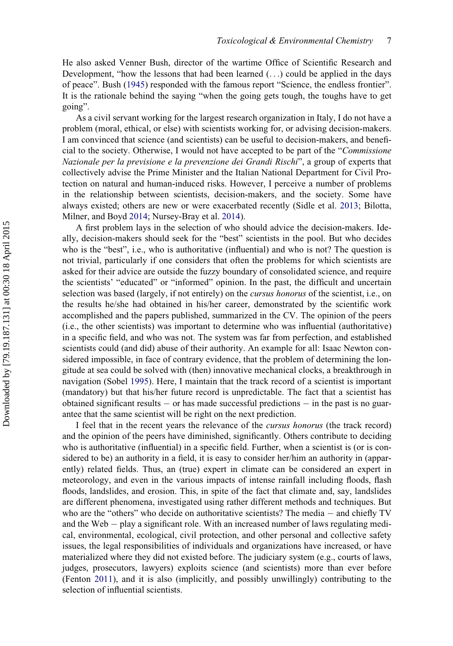He also asked Venner Bush, director of the wartime Office of Scientific Research and Development, "how the lessons that had been learned  $(\ldots)$  could be applied in the days of peace". Bush ([1945\)](#page-16-16) responded with the famous report "Science, the endless frontier". It is the rationale behind the saying "when the going gets tough, the toughs have to get going".

As a civil servant working for the largest research organization in Italy, I do not have a problem (moral, ethical, or else) with scientists working for, or advising decision-makers. I am convinced that science (and scientists) can be useful to decision-makers, and beneficial to the society. Otherwise, I would not have accepted to be part of the "Commissione Nazionale per la previsione e la prevenzione dei Grandi Rischi", a group of experts that collectively advise the Prime Minister and the Italian National Department for Civil Protection on natural and human-induced risks. However, I perceive a number of problems in the relationship between scientists, decision-makers, and the society. Some have always existed; others are new or were exacerbated recently (Sidle et al. [2013](#page-18-10); Bilotta, Milner, and Boyd [2014;](#page-16-17) Nursey-Bray et al. [2014\)](#page-17-19).

A first problem lays in the selection of who should advice the decision-makers. Ideally, decision-makers should seek for the "best" scientists in the pool. But who decides who is the "best", i.e., who is authoritative (influential) and who is not? The question is not trivial, particularly if one considers that often the problems for which scientists are asked for their advice are outside the fuzzy boundary of consolidated science, and require the scientists' "educated" or "informed" opinion. In the past, the difficult and uncertain selection was based (largely, if not entirely) on the cursus honorus of the scientist, i.e., on the results he/she had obtained in his/her career, demonstrated by the scientific work accomplished and the papers published, summarized in the CV. The opinion of the peers (i.e., the other scientists) was important to determine who was influential (authoritative) in a specific field, and who was not. The system was far from perfection, and established scientists could (and did) abuse of their authority. An example for all: Isaac Newton considered impossible, in face of contrary evidence, that the problem of determining the longitude at sea could be solved with (then) innovative mechanical clocks, a breakthrough in navigation (Sobel [1995\)](#page-18-11). Here, I maintain that the track record of a scientist is important (mandatory) but that his/her future record is unpredictable. The fact that a scientist has obtained significant results  $\sim$  or has made successful predictions  $\sim$  in the past is no guarantee that the same scientist will be right on the next prediction.

I feel that in the recent years the relevance of the cursus honorus (the track record) and the opinion of the peers have diminished, significantly. Others contribute to deciding who is authoritative (influential) in a specific field. Further, when a scientist is (or is considered to be) an authority in a field, it is easy to consider her/him an authority in (apparently) related fields. Thus, an (true) expert in climate can be considered an expert in meteorology, and even in the various impacts of intense rainfall including floods, flash floods, landslides, and erosion. This, in spite of the fact that climate and, say, landslides are different phenomena, investigated using rather different methods and techniques. But who are the "others" who decide on authoritative scientists? The media  $-$  and chiefly TV and the Web  $-$  play a significant role. With an increased number of laws regulating medical, environmental, ecological, civil protection, and other personal and collective safety issues, the legal responsibilities of individuals and organizations have increased, or have materialized where they did not existed before. The judiciary system (e.g., courts of laws, judges, prosecutors, lawyers) exploits science (and scientists) more than ever before (Fenton [2011\)](#page-16-10), and it is also (implicitly, and possibly unwillingly) contributing to the selection of influential scientists.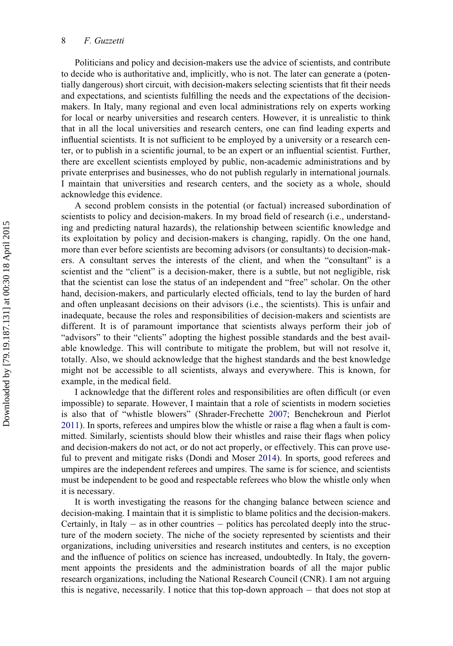Politicians and policy and decision-makers use the advice of scientists, and contribute to decide who is authoritative and, implicitly, who is not. The later can generate a (potentially dangerous) short circuit, with decision-makers selecting scientists that fit their needs and expectations, and scientists fulfilling the needs and the expectations of the decisionmakers. In Italy, many regional and even local administrations rely on experts working for local or nearby universities and research centers. However, it is unrealistic to think that in all the local universities and research centers, one can find leading experts and influential scientists. It is not sufficient to be employed by a university or a research center, or to publish in a scientific journal, to be an expert or an influential scientist. Further, there are excellent scientists employed by public, non-academic administrations and by private enterprises and businesses, who do not publish regularly in international journals. I maintain that universities and research centers, and the society as a whole, should acknowledge this evidence.

A second problem consists in the potential (or factual) increased subordination of scientists to policy and decision-makers. In my broad field of research (i.e., understanding and predicting natural hazards), the relationship between scientific knowledge and its exploitation by policy and decision-makers is changing, rapidly. On the one hand, more than ever before scientists are becoming advisors (or consultants) to decision-makers. A consultant serves the interests of the client, and when the "consultant" is a scientist and the "client" is a decision-maker, there is a subtle, but not negligible, risk that the scientist can lose the status of an independent and "free" scholar. On the other hand, decision-makers, and particularly elected officials, tend to lay the burden of hard and often unpleasant decisions on their advisors (i.e., the scientists). This is unfair and inadequate, because the roles and responsibilities of decision-makers and scientists are different. It is of paramount importance that scientists always perform their job of "advisors" to their "clients" adopting the highest possible standards and the best available knowledge. This will contribute to mitigate the problem, but will not resolve it, totally. Also, we should acknowledge that the highest standards and the best knowledge might not be accessible to all scientists, always and everywhere. This is known, for example, in the medical field.

I acknowledge that the different roles and responsibilities are often difficult (or even impossible) to separate. However, I maintain that a role of scientists in modern societies is also that of "whistle blowers" (Shrader-Frechette [2007;](#page-18-12) Benchekroun and Pierlot [2011\)](#page-16-18). In sports, referees and umpires blow the whistle or raise a flag when a fault is committed. Similarly, scientists should blow their whistles and raise their flags when policy and decision-makers do not act, or do not act properly, or effectively. This can prove useful to prevent and mitigate risks (Dondi and Moser [2014](#page-16-13)). In sports, good referees and umpires are the independent referees and umpires. The same is for science, and scientists must be independent to be good and respectable referees who blow the whistle only when it is necessary.

It is worth investigating the reasons for the changing balance between science and decision-making. I maintain that it is simplistic to blame politics and the decision-makers. Certainly, in Italy  $-$  as in other countries  $-$  politics has percolated deeply into the structure of the modern society. The niche of the society represented by scientists and their organizations, including universities and research institutes and centers, is no exception and the influence of politics on science has increased, undoubtedly. In Italy, the government appoints the presidents and the administration boards of all the major public research organizations, including the National Research Council (CNR). I am not arguing this is negative, necessarily. I notice that this top-down approach  $-$  that does not stop at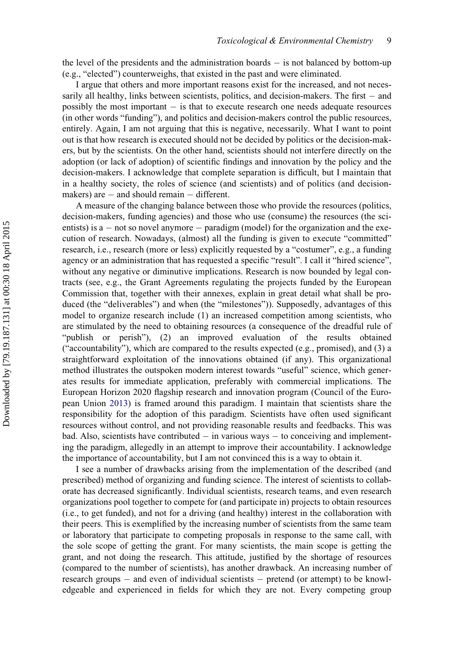the level of the presidents and the administration boards  $-$  is not balanced by bottom-up (e.g., "elected") counterweighs, that existed in the past and were eliminated.

I argue that others and more important reasons exist for the increased, and not necessarily all healthy, links between scientists, politics, and decision-makers. The first  $-$  and possibly the most important  $-$  is that to execute research one needs adequate resources (in other words "funding"), and politics and decision-makers control the public resources, entirely. Again, I am not arguing that this is negative, necessarily. What I want to point out is that how research is executed should not be decided by politics or the decision-makers, but by the scientists. On the other hand, scientists should not interfere directly on the adoption (or lack of adoption) of scientific findings and innovation by the policy and the decision-makers. I acknowledge that complete separation is difficult, but I maintain that in a healthy society, the roles of science (and scientists) and of politics (and decisionmakers) are  $-$  and should remain  $-$  different.

A measure of the changing balance between those who provide the resources (politics, decision-makers, funding agencies) and those who use (consume) the resources (the scientists) is  $a - not$  so novel anymore  $-$  paradigm (model) for the organization and the execution of research. Nowadays, (almost) all the funding is given to execute "committed" research, i.e., research (more or less) explicitly requested by a "costumer", e.g., a funding agency or an administration that has requested a specific "result". I call it "hired science", without any negative or diminutive implications. Research is now bounded by legal contracts (see, e.g., the Grant Agreements regulating the projects funded by the European Commission that, together with their annexes, explain in great detail what shall be produced (the "deliverables") and when (the "milestones")). Supposedly, advantages of this model to organize research include (1) an increased competition among scientists, who are stimulated by the need to obtaining resources (a consequence of the dreadful rule of "publish or perish"), (2) an improved evaluation of the results obtained ("accountability"), which are compared to the results expected (e.g., promised), and (3) a straightforward exploitation of the innovations obtained (if any). This organizational method illustrates the outspoken modern interest towards "useful" science, which generates results for immediate application, preferably with commercial implications. The European Horizon 2020 flagship research and innovation program (Council of the European Union [2013](#page-16-19)) is framed around this paradigm. I maintain that scientists share the responsibility for the adoption of this paradigm. Scientists have often used significant resources without control, and not providing reasonable results and feedbacks. This was bad. Also, scientists have contributed  $\overline{\phantom{a}}$  in various ways  $\overline{\phantom{a}}$  to conceiving and implementing the paradigm, allegedly in an attempt to improve their accountability. I acknowledge the importance of accountability, but I am not convinced this is a way to obtain it.

I see a number of drawbacks arising from the implementation of the described (and prescribed) method of organizing and funding science. The interest of scientists to collaborate has decreased significantly. Individual scientists, research teams, and even research organizations pool together to compete for (and participate in) projects to obtain resources (i.e., to get funded), and not for a driving (and healthy) interest in the collaboration with their peers. This is exemplified by the increasing number of scientists from the same team or laboratory that participate to competing proposals in response to the same call, with the sole scope of getting the grant. For many scientists, the main scope is getting the grant, and not doing the research. This attitude, justified by the shortage of resources (compared to the number of scientists), has another drawback. An increasing number of research groups  $-$  and even of individual scientists  $-$  pretend (or attempt) to be knowledgeable and experienced in fields for which they are not. Every competing group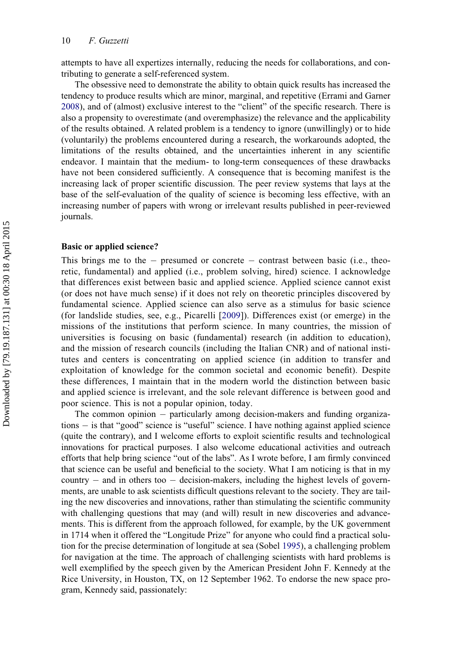attempts to have all expertizes internally, reducing the needs for collaborations, and contributing to generate a self-referenced system.

The obsessive need to demonstrate the ability to obtain quick results has increased the tendency to produce results which are minor, marginal, and repetitive (Errami and Garner [2008\)](#page-16-20), and of (almost) exclusive interest to the "client" of the specific research. There is also a propensity to overestimate (and overemphasize) the relevance and the applicability of the results obtained. A related problem is a tendency to ignore (unwillingly) or to hide (voluntarily) the problems encountered during a research, the workarounds adopted, the limitations of the results obtained, and the uncertainties inherent in any scientific endeavor. I maintain that the medium- to long-term consequences of these drawbacks have not been considered sufficiently. A consequence that is becoming manifest is the increasing lack of proper scientific discussion. The peer review systems that lays at the base of the self-evaluation of the quality of science is becoming less effective, with an increasing number of papers with wrong or irrelevant results published in peer-reviewed journals.

#### Basic or applied science?

This brings me to the  $-$  presumed or concrete  $-$  contrast between basic (i.e., theoretic, fundamental) and applied (i.e., problem solving, hired) science. I acknowledge that differences exist between basic and applied science. Applied science cannot exist (or does not have much sense) if it does not rely on theoretic principles discovered by fundamental science. Applied science can also serve as a stimulus for basic science (for landslide studies, see, e.g., Picarelli [[2009](#page-17-20)]). Differences exist (or emerge) in the missions of the institutions that perform science. In many countries, the mission of universities is focusing on basic (fundamental) research (in addition to education), and the mission of research councils (including the Italian CNR) and of national institutes and centers is concentrating on applied science (in addition to transfer and exploitation of knowledge for the common societal and economic benefit). Despite these differences, I maintain that in the modern world the distinction between basic and applied science is irrelevant, and the sole relevant difference is between good and poor science. This is not a popular opinion, today.

The common opinion  $-$  particularly among decision-makers and funding organizations  $-$  is that "good" science is "useful" science. I have nothing against applied science (quite the contrary), and I welcome efforts to exploit scientific results and technological innovations for practical purposes. I also welcome educational activities and outreach efforts that help bring science "out of the labs". As I wrote before, I am firmly convinced that science can be useful and beneficial to the society. What I am noticing is that in my country  $-$  and in others too  $-$  decision-makers, including the highest levels of governments, are unable to ask scientists difficult questions relevant to the society. They are tailing the new discoveries and innovations, rather than stimulating the scientific community with challenging questions that may (and will) result in new discoveries and advancements. This is different from the approach followed, for example, by the UK government in 1714 when it offered the "Longitude Prize" for anyone who could find a practical solution for the precise determination of longitude at sea (Sobel [1995](#page-18-11)), a challenging problem for navigation at the time. The approach of challenging scientists with hard problems is well exemplified by the speech given by the American President John F. Kennedy at the Rice University, in Houston, TX, on 12 September 1962. To endorse the new space program, Kennedy said, passionately: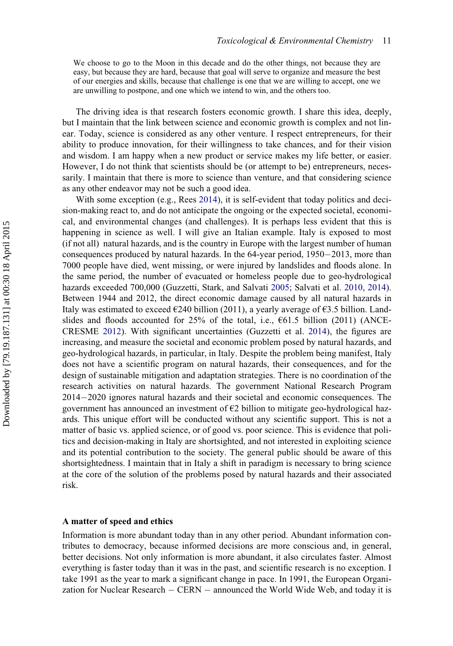We choose to go to the Moon in this decade and do the other things, not because they are easy, but because they are hard, because that goal will serve to organize and measure the best of our energies and skills, because that challenge is one that we are willing to accept, one we are unwilling to postpone, and one which we intend to win, and the others too.

The driving idea is that research fosters economic growth. I share this idea, deeply, but I maintain that the link between science and economic growth is complex and not linear. Today, science is considered as any other venture. I respect entrepreneurs, for their ability to produce innovation, for their willingness to take chances, and for their vision and wisdom. I am happy when a new product or service makes my life better, or easier. However, I do not think that scientists should be (or attempt to be) entrepreneurs, necessarily. I maintain that there is more to science than venture, and that considering science as any other endeavor may not be such a good idea.

With some exception (e.g., Rees [2014\)](#page-17-21), it is self-evident that today politics and decision-making react to, and do not anticipate the ongoing or the expected societal, economical, and environmental changes (and challenges). It is perhaps less evident that this is happening in science as well. I will give an Italian example. Italy is exposed to most (if not all) natural hazards, and is the country in Europe with the largest number of human consequences produced by natural hazards. In the  $64$ -year period,  $1950-2013$ , more than 7000 people have died, went missing, or were injured by landslides and floods alone. In the same period, the number of evacuated or homeless people due to geo-hydrological hazards exceeded 700,000 (Guzzetti, Stark, and Salvati [2005](#page-16-21); Salvati et al. [2010](#page-17-0), [2014\)](#page-17-1). Between 1944 and 2012, the direct economic damage caused by all natural hazards in Italy was estimated to exceed  $\epsilon$ 240 billion (2011), a yearly average of  $\epsilon$ 3.5 billion. Landslides and floods accounted for  $25\%$  of the total, i.e.,  $661.5$  billion (2011) (ANCE-CRESME [2012](#page-15-3)). With significant uncertainties (Guzzetti et al. [2014\)](#page-16-2), the figures are increasing, and measure the societal and economic problem posed by natural hazards, and geo-hydrological hazards, in particular, in Italy. Despite the problem being manifest, Italy does not have a scientific program on natural hazards, their consequences, and for the design of sustainable mitigation and adaptation strategies. There is no coordination of the research activities on natural hazards. The government National Research Program  $2014 - 2020$  ignores natural hazards and their societal and economic consequences. The government has announced an investment of  $E2$  billion to mitigate geo-hydrological hazards. This unique effort will be conducted without any scientific support. This is not a matter of basic vs. applied science, or of good vs. poor science. This is evidence that politics and decision-making in Italy are shortsighted, and not interested in exploiting science and its potential contribution to the society. The general public should be aware of this shortsightedness. I maintain that in Italy a shift in paradigm is necessary to bring science at the core of the solution of the problems posed by natural hazards and their associated risk.

## A matter of speed and ethics

Information is more abundant today than in any other period. Abundant information contributes to democracy, because informed decisions are more conscious and, in general, better decisions. Not only information is more abundant, it also circulates faster. Almost everything is faster today than it was in the past, and scientific research is no exception. I take 1991 as the year to mark a significant change in pace. In 1991, the European Organization for Nuclear Research  $-$  CERN  $-$  announced the World Wide Web, and today it is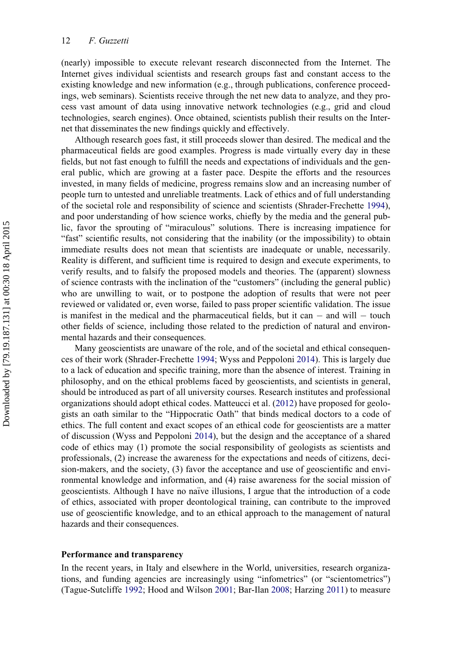(nearly) impossible to execute relevant research disconnected from the Internet. The Internet gives individual scientists and research groups fast and constant access to the existing knowledge and new information (e.g., through publications, conference proceedings, web seminars). Scientists receive through the net new data to analyze, and they process vast amount of data using innovative network technologies (e.g., grid and cloud technologies, search engines). Once obtained, scientists publish their results on the Internet that disseminates the new findings quickly and effectively.

Although research goes fast, it still proceeds slower than desired. The medical and the pharmaceutical fields are good examples. Progress is made virtually every day in these fields, but not fast enough to fulfill the needs and expectations of individuals and the general public, which are growing at a faster pace. Despite the efforts and the resources invested, in many fields of medicine, progress remains slow and an increasing number of people turn to untested and unreliable treatments. Lack of ethics and of full understanding of the societal role and responsibility of science and scientists (Shrader-Frechette [1994\)](#page-17-22), and poor understanding of how science works, chiefly by the media and the general public, favor the sprouting of "miraculous" solutions. There is increasing impatience for "fast" scientific results, not considering that the inability (or the impossibility) to obtain immediate results does not mean that scientists are inadequate or unable, necessarily. Reality is different, and sufficient time is required to design and execute experiments, to verify results, and to falsify the proposed models and theories. The (apparent) slowness of science contrasts with the inclination of the "customers" (including the general public) who are unwilling to wait, or to postpone the adoption of results that were not peer reviewed or validated or, even worse, failed to pass proper scientific validation. The issue is manifest in the medical and the pharmaceutical fields, but it can  $-$  and will  $-$  touch other fields of science, including those related to the prediction of natural and environmental hazards and their consequences.

Many geoscientists are unaware of the role, and of the societal and ethical consequences of their work (Shrader-Frechette [1994;](#page-17-22) Wyss and Peppoloni [2014](#page-18-13)). This is largely due to a lack of education and specific training, more than the absence of interest. Training in philosophy, and on the ethical problems faced by geoscientists, and scientists in general, should be introduced as part of all university courses. Research institutes and professional organizations should adopt ethical codes. Matteucci et al. [\(2012](#page-17-23)) have proposed for geologists an oath similar to the "Hippocratic Oath" that binds medical doctors to a code of ethics. The full content and exact scopes of an ethical code for geoscientists are a matter of discussion (Wyss and Peppoloni [2014\)](#page-18-13), but the design and the acceptance of a shared code of ethics may (1) promote the social responsibility of geologists as scientists and professionals, (2) increase the awareness for the expectations and needs of citizens, decision-makers, and the society, (3) favor the acceptance and use of geoscientific and environmental knowledge and information, and (4) raise awareness for the social mission of geoscientists. Although I have no naïve illusions, I argue that the introduction of a code of ethics, associated with proper deontological training, can contribute to the improved use of geoscientific knowledge, and to an ethical approach to the management of natural hazards and their consequences.

#### Performance and transparency

In the recent years, in Italy and elsewhere in the World, universities, research organizations, and funding agencies are increasingly using "infometrics" (or "scientometrics") (Tague-Sutcliffe [1992;](#page-18-14) Hood and Wilson [2001](#page-17-24); Bar-Ilan [2008](#page-15-4); Harzing [2011\)](#page-17-25) to measure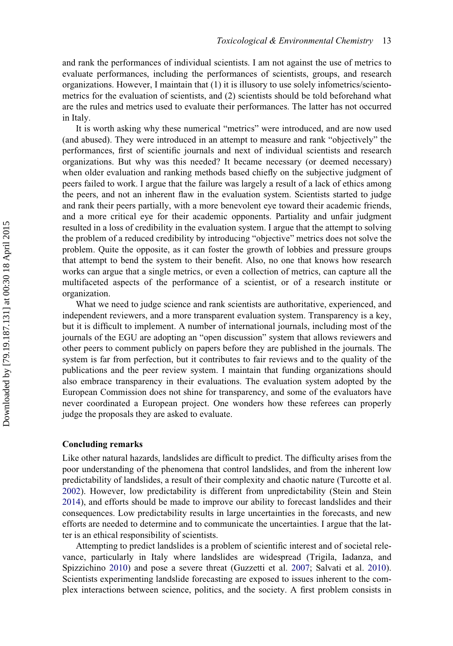and rank the performances of individual scientists. I am not against the use of metrics to evaluate performances, including the performances of scientists, groups, and research organizations. However, I maintain that (1) it is illusory to use solely infometrics/scientometrics for the evaluation of scientists, and (2) scientists should be told beforehand what are the rules and metrics used to evaluate their performances. The latter has not occurred in Italy.

It is worth asking why these numerical "metrics" were introduced, and are now used (and abused). They were introduced in an attempt to measure and rank "objectively" the performances, first of scientific journals and next of individual scientists and research organizations. But why was this needed? It became necessary (or deemed necessary) when older evaluation and ranking methods based chiefly on the subjective judgment of peers failed to work. I argue that the failure was largely a result of a lack of ethics among the peers, and not an inherent flaw in the evaluation system. Scientists started to judge and rank their peers partially, with a more benevolent eye toward their academic friends, and a more critical eye for their academic opponents. Partiality and unfair judgment resulted in a loss of credibility in the evaluation system. I argue that the attempt to solving the problem of a reduced credibility by introducing "objective" metrics does not solve the problem. Quite the opposite, as it can foster the growth of lobbies and pressure groups that attempt to bend the system to their benefit. Also, no one that knows how research works can argue that a single metrics, or even a collection of metrics, can capture all the multifaceted aspects of the performance of a scientist, or of a research institute or organization.

What we need to judge science and rank scientists are authoritative, experienced, and independent reviewers, and a more transparent evaluation system. Transparency is a key, but it is difficult to implement. A number of international journals, including most of the journals of the EGU are adopting an "open discussion" system that allows reviewers and other peers to comment publicly on papers before they are published in the journals. The system is far from perfection, but it contributes to fair reviews and to the quality of the publications and the peer review system. I maintain that funding organizations should also embrace transparency in their evaluations. The evaluation system adopted by the European Commission does not shine for transparency, and some of the evaluators have never coordinated a European project. One wonders how these referees can properly judge the proposals they are asked to evaluate.

# Concluding remarks

Like other natural hazards, landslides are difficult to predict. The difficulty arises from the poor understanding of the phenomena that control landslides, and from the inherent low predictability of landslides, a result of their complexity and chaotic nature (Turcotte et al. [2002\)](#page-18-15). However, low predictability is different from unpredictability (Stein and Stein [2014\)](#page-18-2), and efforts should be made to improve our ability to forecast landslides and their consequences. Low predictability results in large uncertainties in the forecasts, and new efforts are needed to determine and to communicate the uncertainties. I argue that the latter is an ethical responsibility of scientists.

Attempting to predict landslides is a problem of scientific interest and of societal relevance, particularly in Italy where landslides are widespread (Trigila, Iadanza, and Spizzichino [2010](#page-18-9)) and pose a severe threat (Guzzetti et al. [2007](#page-16-12); Salvati et al. [2010\)](#page-17-0). Scientists experimenting landslide forecasting are exposed to issues inherent to the complex interactions between science, politics, and the society. A first problem consists in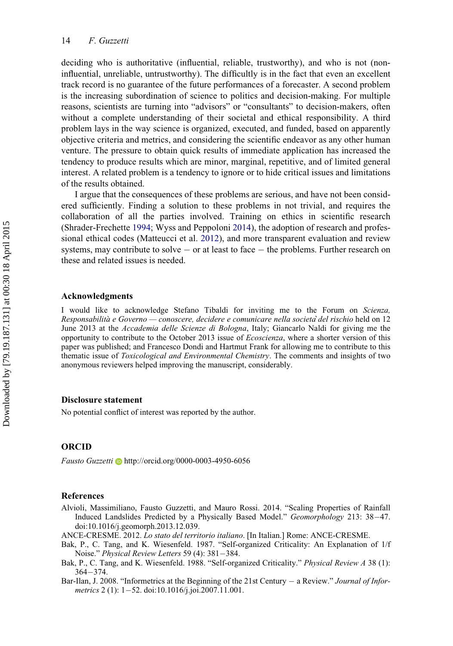deciding who is authoritative (influential, reliable, trustworthy), and who is not (noninfluential, unreliable, untrustworthy). The difficultly is in the fact that even an excellent track record is no guarantee of the future performances of a forecaster. A second problem is the increasing subordination of science to politics and decision-making. For multiple reasons, scientists are turning into "advisors" or "consultants" to decision-makers, often without a complete understanding of their societal and ethical responsibility. A third problem lays in the way science is organized, executed, and funded, based on apparently objective criteria and metrics, and considering the scientific endeavor as any other human venture. The pressure to obtain quick results of immediate application has increased the tendency to produce results which are minor, marginal, repetitive, and of limited general interest. A related problem is a tendency to ignore or to hide critical issues and limitations of the results obtained.

I argue that the consequences of these problems are serious, and have not been considered sufficiently. Finding a solution to these problems in not trivial, and requires the collaboration of all the parties involved. Training on ethics in scientific research (Shrader-Frechette [1994](#page-17-22); Wyss and Peppoloni [2014\)](#page-18-13), the adoption of research and professional ethical codes (Matteucci et al. [2012\)](#page-17-23), and more transparent evaluation and review systems, may contribute to solve  $\sim$  or at least to face  $\sim$  the problems. Further research on these and related issues is needed.

#### Acknowledgments

I would like to acknowledge Stefano Tibaldi for inviting me to the Forum on Scienza, Responsabilità e Governo — conoscere, decidere e comunicare nella società del rischio held on 12 June 2013 at the Accademia delle Scienze di Bologna, Italy; Giancarlo Naldi for giving me the opportunity to contribute to the October 2013 issue of Ecoscienza, where a shorter version of this paper was published; and Francesco Dondi and Hartmut Frank for allowing me to contribute to this thematic issue of Toxicological and Environmental Chemistry. The comments and insights of two anonymous reviewers helped improving the manuscript, considerably.

#### Disclosure statement

No potential conflict of interest was reported by the author.

# ORCID

Fausto Guzzetti  $\blacksquare$  <http://orcid.org/0000-0003-4950-6056>

#### References

- <span id="page-15-2"></span>Alvioli, Massimiliano, Fausto Guzzetti, and Mauro Rossi. 2014. "Scaling Properties of Rainfall Induced Landslides Predicted by a Physically Based Model." Geomorphology 213: 38-47. doi:[10.1016/j.geomorph.2013.12.039.](http://dx.doi.org/10.1016/j.geomorph.2013.12.039)
- <span id="page-15-3"></span>ANCE-CRESME. 2012. Lo stato del territorio italiano. [In Italian.] Rome: ANCE-CRESME.
- <span id="page-15-0"></span>Bak, P., C. Tang, and K. Wiesenfeld. 1987. "Self-organized Criticality: An Explanation of 1/f Noise." Physical Review Letters 59 (4): 381-384.
- <span id="page-15-1"></span>Bak, P., C. Tang, and K. Wiesenfeld. 1988. "Self-organized Criticality." Physical Review A 38 (1):  $364 - 374.$
- <span id="page-15-4"></span>Bar-Ilan, J. 2008. "Informetrics at the Beginning of the 21st Century  $-$  a Review." Journal of Infor-metrics 2 (1): 1-52. doi:[10.1016/j.joi.2007.11.001.](http://dx.doi.org/10.1016/j.joi.2007.11.001)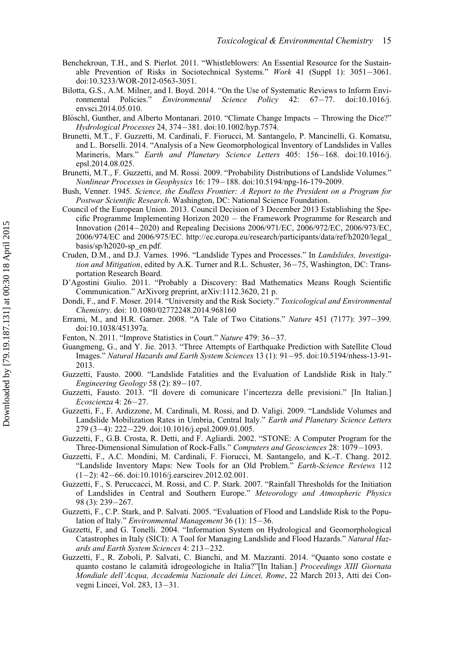- <span id="page-16-18"></span>Benchekroun, T.H., and S. Pierlot. 2011. "Whistleblowers: An Essential Resource for the Sustainable Prevention of Risks in Sociotechnical Systems." Work 41 (Suppl 1):  $3051-3061$ . doi:[10.3233/WOR-2012-0563-3051.](http://dx.doi.org/10.3233/WOR-2012-0563-3051)
- <span id="page-16-17"></span>Bilotta, G.S., A.M. Milner, and I. Boyd. 2014. "On the Use of Systematic Reviews to Inform Envi-ronmental Policies." Environmental Science Policy 42: 67-77. doi[:10.1016/j.](http://dx.doi.org/10.1016/j.envsci.2014.05.010) [envsci.2014.05.010.](http://dx.doi.org/10.1016/j.envsci.2014.05.010)
- <span id="page-16-9"></span>Blöschl, Gunther, and Alberto Montanari. 2010. "Climate Change Impacts  $-$  Throwing the Dice?" Hydrological Processes 24, 374381. doi[:10.1002/hyp.7574.](http://dx.doi.org/10.1002/hyp.7574)
- <span id="page-16-8"></span>Brunetti, M.T., F. Guzzetti, M. Cardinali, F. Fiorucci, M. Santangelo, P. Mancinelli, G. Komatsu, and L. Borselli. 2014. "Analysis of a New Geomorphological Inventory of Landslides in Valles Marineris, Mars." Earth and Planetary Science Letters 405: 156-168. doi[:10.1016/j.](http://dx.doi.org/10.1016/j.epsl.2014.08.025) [epsl.2014.08.025.](http://dx.doi.org/10.1016/j.epsl.2014.08.025)
- <span id="page-16-6"></span>Brunetti, M.T., F. Guzzetti, and M. Rossi. 2009. "Probability Distributions of Landslide Volumes." Nonlinear Processes in Geophysics 16: 179-188. doi:[10.5194/npg-16-179-2009.](http://dx.doi.org/10.5194/npg-16-179-2009)
- <span id="page-16-16"></span>Bush, Venner. 1945. Science, the Endless Frontier: A Report to the President on a Program for Postwar Scientific Research. Washington, DC: National Science Foundation.
- <span id="page-16-19"></span>Council of the European Union. 2013. Council Decision of 3 December 2013 Establishing the Specific Programme Implementing Horizon 2020 the Framework Programme for Research and Innovation (2014–2020) and Repealing Decisions 2006/971/EC, 2006/972/EC, 2006/973/EC, 2006/974/EC and 2006/975/EC. [http://ec.europa.eu/research/participants/data/ref/h2020/legal\\_](http://ec.europa.eu/research/participants/data/ref/h2020/legal_basis/sp/h2020-sp_en.pdf) [basis/sp/h2020-sp\\_en.pdf](http://ec.europa.eu/research/participants/data/ref/h2020/legal_basis/sp/h2020-sp_en.pdf).
- <span id="page-16-4"></span>Cruden, D.M., and D.J. Varnes. 1996. "Landslide Types and Processes." In Landslides, Investigation and Mitigation, edited by A.K. Turner and R.L. Schuster,  $36-75$ , Washington, DC: Transportation Research Board.
- <span id="page-16-15"></span>D'Agostini Giulio. 2011. "Probably a Discovery: Bad Mathematics Means Rough Scientific Communication." ArXivorg preprint, arXiv:1112.3620, 21 p.
- <span id="page-16-13"></span>Dondi, F., and F. Moser. 2014. "University and the Risk Society." Toxicological and Environmental Chemistry. doi: [10.1080/02772248.2014.968160](http://dx.doi.org/10.1080/02772248.2014.968160)
- <span id="page-16-20"></span>Errami, M., and H.R. Garner. 2008. "A Tale of Two Citations." Nature 451 (7177): 397-399. doi:[10.1038/451397a.](http://dx.doi.org/10.1038/451397a)
- <span id="page-16-14"></span><span id="page-16-10"></span>Fenton, N. 2011. "Improve Statistics in Court." Nature 479: 36-37.
- Guangmeng, G., and Y. Jie. 2013. "Three Attempts of Earthquake Prediction with Satellite Cloud Images." Natural Hazards and Earth System Sciences 13 (1): 91-95. doi[:10.5194/nhess-13-91-](http://dx.doi.org/10.5194/nhess-13-91-2013) [2013.](http://dx.doi.org/10.5194/nhess-13-91-2013)
- <span id="page-16-0"></span>Guzzetti, Fausto. 2000. "Landslide Fatalities and the Evaluation of Landslide Risk in Italy." Engineering Geology 58 (2): 89-107.
- <span id="page-16-3"></span>Guzzetti, Fausto. 2013. "Il dovere di comunicare l'incertezza delle previsioni." [In Italian.] Ecoscienza 4: 26-27.
- <span id="page-16-7"></span>Guzzetti, F., F. Ardizzone, M. Cardinali, M. Rossi, and D. Valigi. 2009. "Landslide Volumes and Landslide Mobilization Rates in Umbria, Central Italy." Earth and Planetary Science Letters 279 (3-4): 222-229. doi[:10.1016/j.epsl.2009.01.005.](http://dx.doi.org/10.1016/j.epsl.2009.01.005)
- <span id="page-16-11"></span>Guzzetti, F., G.B. Crosta, R. Detti, and F. Agliardi. 2002. "STONE: A Computer Program for the Three-Dimensional Simulation of Rock-Falls." Computers and Geosciences 28: 1079–1093.
- <span id="page-16-5"></span>Guzzetti, F., A.C. Mondini, M. Cardinali, F. Fiorucci, M. Santangelo, and K.-T. Chang. 2012. "Landslide Inventory Maps: New Tools for an Old Problem." Earth-Science Reviews 112  $(1-2)$ : 42-66. doi:[10.1016/j.earscirev.2012.02.001.](http://dx.doi.org/10.1016/j.earscirev.2012.02.001)
- <span id="page-16-12"></span>Guzzetti, F., S. Peruccacci, M. Rossi, and C. P. Stark. 2007. "Rainfall Thresholds for the Initiation of Landslides in Central and Southern Europe." Meteorology and Atmospheric Physics 98 (3): 239-267.
- <span id="page-16-21"></span>Guzzetti, F., C.P. Stark, and P. Salvati. 2005. "Evaluation of Flood and Landslide Risk to the Population of Italy." Environmental Management 36 (1): 15-36.
- <span id="page-16-1"></span>Guzzetti, F, and G. Tonelli. 2004. "Information System on Hydrological and Geomorphological Catastrophes in Italy (SICI): A Tool for Managing Landslide and Flood Hazards." Natural Hazards and Earth System Sciences 4: 213–232.
- <span id="page-16-2"></span>Guzzetti, F., R. Zoboli, P. Salvati, C. Bianchi, and M. Mazzanti. 2014. "Quanto sono costate e quanto costano le calamità idrogeologiche in Italia?"[In Italian.] Proceedings XIII Giornata Mondiale dell'Acqua, Accademia Nazionale dei Lincei, Rome, 22 March 2013, Atti dei Convegni Lincei, Vol. 283, 13-31.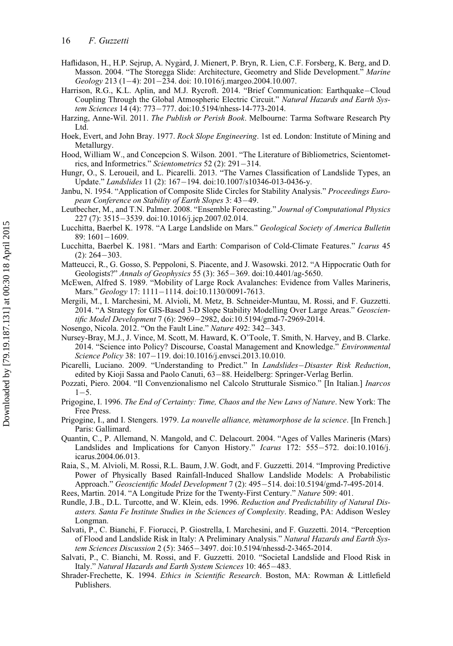- 16 F. Guzzetti
- <span id="page-17-3"></span>Haflidason, H., H.P. Sejrup, A. Nygård, J. Mienert, P. Bryn, R. Lien, C.F. Forsberg, K. Berg, and D. Masson. 2004. "The Storegga Slide: Architecture, Geometry and Slide Development." Marine Geology 213 (1-4): 201-234. doi: [10.1016/j.margeo.2004.10.007.](http://dx.doi.org/10.1016/j.margeo.2004.10.007)
- <span id="page-17-16"></span>Harrison, R.G., K.L. Aplin, and M.J. Rycroft. 2014. "Brief Communication: Earthquake-Cloud Coupling Through the Global Atmospheric Electric Circuit." Natural Hazards and Earth Sys-tem Sciences 14 (4): 773-777. doi[:10.5194/nhess-14-773-2014.](http://dx.doi.org/10.5194/nhess-14-773-2014)
- <span id="page-17-25"></span>Harzing, Anne-Wil. 2011. The Publish or Perish Book. Melbourne: Tarma Software Research Pty Ltd.
- <span id="page-17-13"></span>Hoek, Evert, and John Bray. 1977. Rock Slope Engineering. 1st ed. London: Institute of Mining and Metallurgy.
- <span id="page-17-24"></span>Hood, William W., and Concepcion S. Wilson. 2001. "The Literature of Bibliometrics, Scientometrics, and Informetrics." Scientometrics 52 (2): 291-314.
- <span id="page-17-2"></span>Hungr, O., S. Leroueil, and L. Picarelli. 2013. "The Varnes Classification of Landslide Types, an Update." Landslides 11 (2): 167-194. doi:[10.1007/s10346-013-0436-y.](http://dx.doi.org/10.1007/s10346-013-0436-y)
- <span id="page-17-12"></span>Janbu, N. 1954. "Application of Composite Slide Circles for Stability Analysis." Proceedings European Conference on Stability of Earth Slopes 3: 43-49.
- <span id="page-17-17"></span>Leutbecher, M., and T.N. Palmer. 2008. "Ensemble Forecasting." Journal of Computational Physics 227 (7): 3515-3539. doi:[10.1016/j.jcp.2007.02.014.](http://dx.doi.org/10.1016/j.jcp.2007.02.014)
- <span id="page-17-4"></span>Lucchitta, Baerbel K. 1978. "A Large Landslide on Mars." Geological Society of America Bulletin 89: 1601-1609.
- <span id="page-17-5"></span>Lucchitta, Baerbel K. 1981. "Mars and Earth: Comparison of Cold-Climate Features." Icarus 45  $(2): 264 - 303.$
- <span id="page-17-23"></span>Matteucci, R., G. Gosso, S. Peppoloni, S. Piacente, and J. Wasowski. 2012. "A Hippocratic Oath for Geologists?" Annals of Geophysics 55 (3): 365-369. doi[:10.4401/ag-5650.](http://dx.doi.org/10.4401/ag-5650)
- <span id="page-17-6"></span>McEwen, Alfred S. 1989. "Mobility of Large Rock Avalanches: Evidence from Valles Marineris, Mars." Geology 17: 1111–1114. doi:[10.1130/0091-7613.](http://dx.doi.org/10.1130/0091-7613)
- <span id="page-17-15"></span>Mergili, M., I. Marchesini, M. Alvioli, M. Metz, B. Schneider-Muntau, M. Rossi, and F. Guzzetti. 2014. "A Strategy for GIS-Based 3-D Slope Stability Modelling Over Large Areas." Geoscien-tific Model Development 7 (6): 2969-2982, doi[:10.5194/gmd-7-2969-2014.](http://dx.doi.org/10.5194/gmd-7-2969-2014)
- <span id="page-17-19"></span><span id="page-17-11"></span>Nosengo, Nicola. 2012. "On the Fault Line." Nature 492: 342-343.
- Nursey-Bray, M.J., J. Vince, M. Scott, M. Haward, K. O'Toole, T. Smith, N. Harvey, and B. Clarke. 2014. "Science into Policy? Discourse, Coastal Management and Knowledge." Environmental Science Policy 38: 107-119. doi[:10.1016/j.envsci.2013.10.010.](http://dx.doi.org/10.1016/j.envsci.2013.10.010)
- <span id="page-17-20"></span>Picarelli, Luciano. 2009. "Understanding to Predict." In Landslides-Disaster Risk Reduction, edited by Kioji Sassa and Paolo Canuti, 63-88. Heidelberg: Springer-Verlag Berlin.
- <span id="page-17-18"></span>Pozzati, Piero. 2004. "Il Convenzionalismo nel Calcolo Strutturale Sismico." [In Italian.] Inarcos  $1 - 5$ .
- <span id="page-17-9"></span>Prigogine, I. 1996. The End of Certainty: Time, Chaos and the New Laws of Nature. New York: The Free Press.
- <span id="page-17-8"></span>Prigogine, I., and I. Stengers. 1979. La nouvelle alliance, mètamorphose de la science. [In French.] Paris: Gallimard.
- <span id="page-17-7"></span>Quantin, C., P. Allemand, N. Mangold, and C. Delacourt. 2004. "Ages of Valles Marineris (Mars) Landslides and Implications for Canyon History." Icarus 172: 555-572. doi:[10.1016/j.](http://dx.doi.org/10.1016/j.icarus.2004.06.013) [icarus.2004.06.013.](http://dx.doi.org/10.1016/j.icarus.2004.06.013)
- <span id="page-17-14"></span>Raia, S., M. Alvioli, M. Rossi, R.L. Baum, J.W. Godt, and F. Guzzetti. 2014. "Improving Predictive Power of Physically Based Rainfall-Induced Shallow Landslide Models: A Probabilistic Approach." Geoscientific Model Development 7 (2): 495-514. doi[:10.5194/gmd-7-495-2014.](http://dx.doi.org/10.5194/gmd-7-495-2014)
- <span id="page-17-21"></span>Rees, Martin. 2014. "A Longitude Prize for the Twenty-First Century." Nature 509: 401.
- <span id="page-17-10"></span>Rundle, J.B., D.L. Turcotte, and W. Klein, eds. 1996. Reduction and Predictability of Natural Disasters. Santa Fe Institute Studies in the Sciences of Complexity. Reading, PA: Addison Wesley Longman.
- <span id="page-17-1"></span>Salvati, P., C. Bianchi, F. Fiorucci, P. Giostrella, I. Marchesini, and F. Guzzetti. 2014. "Perception of Flood and Landslide Risk in Italy: A Preliminary Analysis." Natural Hazards and Earth Sys-tem Sciences Discussion 2 (5): 3465-3497. doi[:10.5194/nhessd-2-3465-2014.](http://dx.doi.org/10.5194/nhessd-2-3465-2014)
- <span id="page-17-0"></span>Salvati, P., C. Bianchi, M. Rossi, and F. Guzzetti. 2010. "Societal Landslide and Flood Risk in Italy." Natural Hazards and Earth System Sciences 10: 465-483.
- <span id="page-17-22"></span>Shrader-Frechette, K. 1994. Ethics in Scientific Research. Boston, MA: Rowman & Littlefield Publishers.